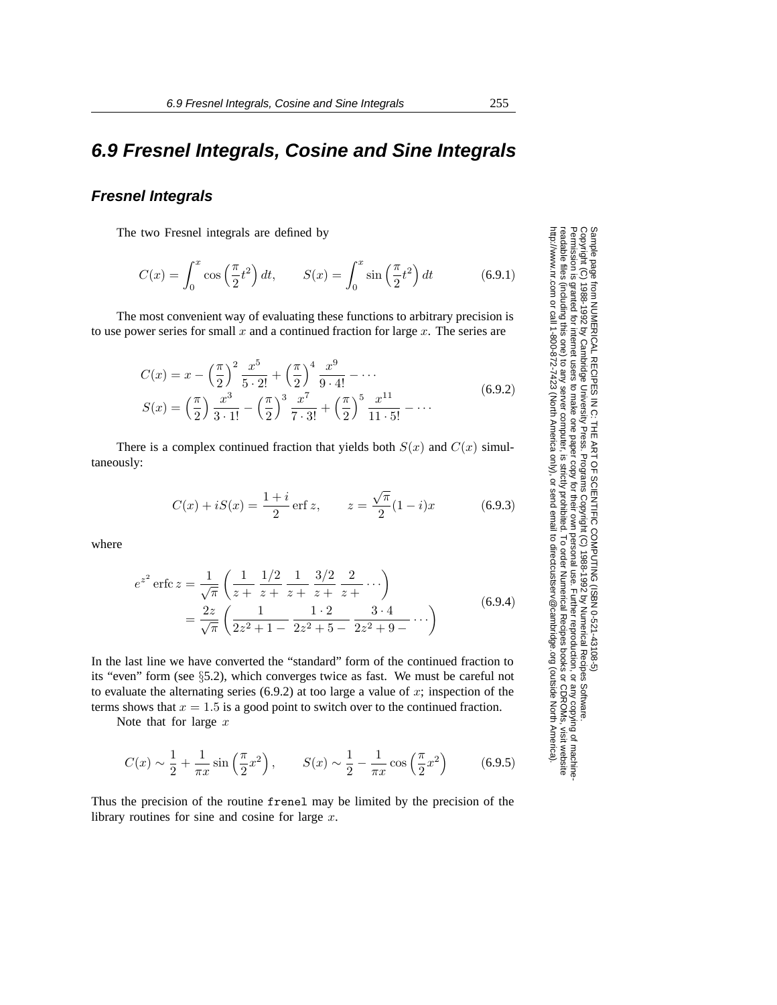# **6.9 Fresnel Integrals, Cosine and Sine Integrals**

### **Fresnel Integrals**

The two Fresnel integrals are defined by

$$
C(x) = \int_0^x \cos\left(\frac{\pi}{2}t^2\right)dt, \qquad S(x) = \int_0^x \sin\left(\frac{\pi}{2}t^2\right)dt \tag{6.9.1}
$$

The most convenient way of evaluating these functions to arbitrary precision is to use power series for small  $x$  and a continued fraction for large  $x$ . The series are

$$
C(x) = x - \left(\frac{\pi}{2}\right)^2 \frac{x^5}{5 \cdot 2!} + \left(\frac{\pi}{2}\right)^4 \frac{x^9}{9 \cdot 4!} - \cdots
$$
  
\n
$$
S(x) = \left(\frac{\pi}{2}\right) \frac{x^3}{3 \cdot 1!} - \left(\frac{\pi}{2}\right)^3 \frac{x^7}{7 \cdot 3!} + \left(\frac{\pi}{2}\right)^5 \frac{x^{11}}{11 \cdot 5!} - \cdots
$$
\n(6.9.2)

There is a complex continued fraction that yields both  $S(x)$  and  $C(x)$  simultaneously:

$$
C(x) + iS(x) = \frac{1+i}{2} \operatorname{erf} z, \qquad z = \frac{\sqrt{\pi}}{2} (1-i)x \tag{6.9.3}
$$

where

$$
e^{z^2} \operatorname{erfc} z = \frac{1}{\sqrt{\pi}} \left( \frac{1}{z + z + \frac{1}{2} + \frac{3}{z + \frac{3}{2} + \cdots} \right)
$$
  
= 
$$
\frac{2z}{\sqrt{\pi}} \left( \frac{1}{2z^2 + 1 - \frac{1 \cdot 2}{2z^2 + 5 - \frac{3 \cdot 4}{2z^2 + 9 - \cdots}} \cdots \right)
$$
(6.9.4)

In the last line we have converted the "standard" form of the continued fraction to its "even" form (see §5.2), which converges twice as fast. We must be careful not to evaluate the alternating series  $(6.9.2)$  at too large a value of x; inspection of the terms shows that  $x = 1.5$  is a good point to switch over to the continued fraction.

Note that for large  $x$ 

$$
C(x) \sim \frac{1}{2} + \frac{1}{\pi x} \sin\left(\frac{\pi}{2}x^2\right), \qquad S(x) \sim \frac{1}{2} - \frac{1}{\pi x} \cos\left(\frac{\pi}{2}x^2\right) \tag{6.9.5}
$$

Thus the precision of the routine frenel may be limited by the precision of the library routines for sine and cosine for large  $x$ .

Permission is granted for internet users to make one paper copy for their own personal use. Further reproduction, or any copyin Copyright (C) 1988-1992 by Cambridge University Press.Programs Copyright (C) 1988-1992 by Numerical Recipes Software. Sample page from NUMERICAL RECIPES IN C: THE ART OF SCIENTIFIC COMPUTING (ISBN 0-521-43108-5) g of machinereadable files (including this one) to any servercomputer, is strictly prohibited. To order Numerical Recipes booksor CDROMs, visit website http://www.nr.com or call 1-800-872-7423 (North America only),or send email to directcustserv@cambridge.org (outside North America).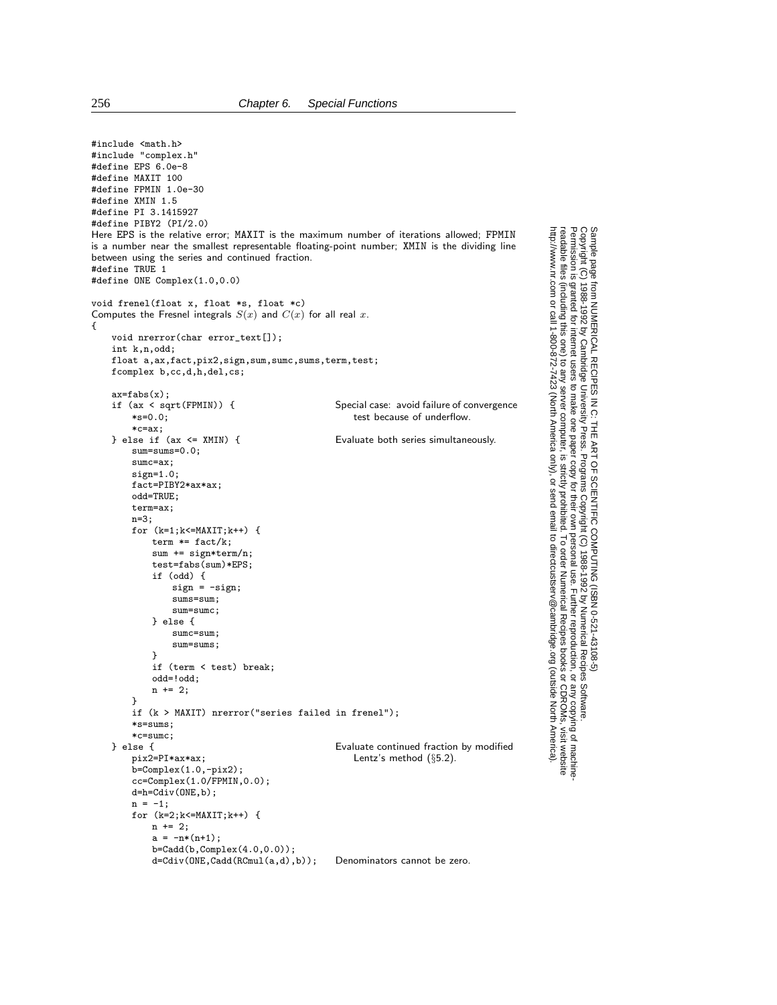```
#include <math.h>
#include "complex.h"
#define EPS 6.0e-8
#define MAXIT 100
#define FPMIN 1.0e-30
#define XMIN 1.5
#define PI 3.1415927
#define PIBY2 (PI/2.0)
Here EPS is the relative error; MAXIT is the maximum number of iterations allowed; FPMIN
is a number near the smallest representable floating-point number; XMIN is the dividing line
between using the series and continued fraction.
#define TRUE 1
#define ONE Complex(1.0,0.0)
void frenel(float x, float *s, float *c)
Computes the Fresnel integrals S(x) and C(x) for all real x.
{
    void nrerror(char error_text[]);
    int k,n,odd;
    float a,ax,fact,pix2,sign,sum,sumc,sums,term,test;
   fcomplex b,cc,d,h,del,cs;
    ax=fabs(x);<br>if (ax < sqrt(FPMIN)) {
        (ax < sqrt(FPMIN)) { Special case: avoid failure of convergence <br> *s=0.0: test because of underflow.
                                                     test because of underflow.
    *c=ax;<br>} else if (ax <= XMIN) {
                                                 Evaluate both series simultaneously.
        sum=sums=0.0;
        sumc=ax;
       sign=1.0;
        fact=PIBY2*ax*ax;
        odd=TRUE;
        term=ax;
        n=3;
        for (k=1; k<=MAXIT;k++) {
            term *= fact/k;
            sum += sign*term/n;
            test=fabs(sum)*EPS;
            if (odd) {
                sign = -sign;sums=sum;
                sum=sumc;
            } else {
                sumc=sum;
                sum=sums;
            }
            if (term < test) break;
            odd=!odd;
            n \neq 2:
        }
        if (k > MAXIT) nrerror("series failed in frenel");
        *s=sums;
    *c=sumc;<br>} else {
       lse {<br>
pix2=PI*ax*ax;<br>
entz's method (§5.2).
                                                     Lentz's method (§5.2).
        b=Complex(1.0,-pix2);
        cc =Complex(1.0/FPMIN,0.0);
        d=h=Cdiv(ONE,b);
        n = -1;for (k=2; k<=MAXIT; k++) {
            n += 2;
            a = -n*(n+1);b=Cadd(b,Complex(4.0,0.0));
            d=Cdiv(ONE,Cadd(RCmul(a,d),b)); Denominators cannot be zero.
```
Permission is granted for internet users to make one paper copy for their own personal use. Further reproduction, or any copyin

computer, is strictly prohibited. To order Numerical Recipes books

or send email to directcustserv@cambridge.org (outside North America).

Sample page from NUMERICAL RECIPES IN C: THE ART OF SCIENTIFIC COMPUTING (ISBN 0-521-43108-5)

Programs Copyright (C) 1988-1992 by Numerical Recipes Software.

g of machine-

or CDROMs, visit website

Copyright (C) 1988-1992 by Cambridge University Press.

readable files (including this one) to any server

http://www.nr.com or call 1-800-872-7423 (North America only),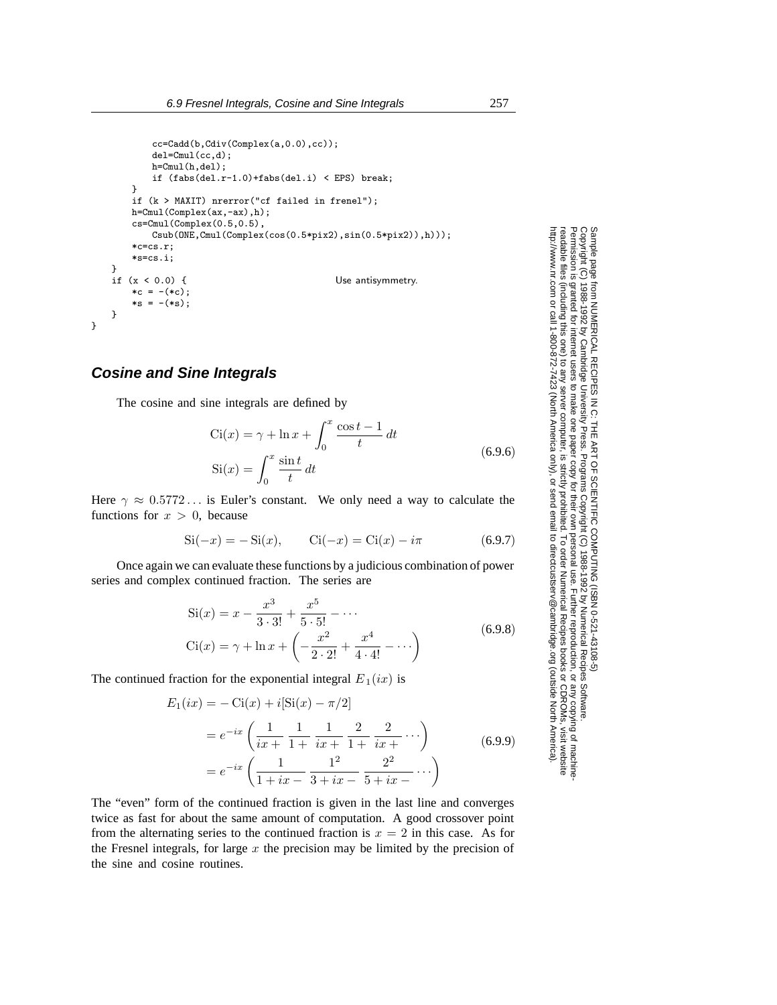```
cc=Cadd(b,Cdiv(Complex(a,0.0),cc));
           del=Cmul(cc,d);
          h=Cmul(h,del);
           if (fabs(de1.r-1.0)+fabs(de1.i) < EPS) break;}
       if (k > MAXIT) nrerror("cf failed in frenel");
       h=Cmul(Complex(ax,-ax),h);
       cs=Cmul(Complex(0.5,0.5),
           Csub(ONE,Cmul(Complex(cos(0.5*pix2),sin(0.5*pix2)),h)));
       *c=cs.r;
       *s=cs.i;
   }
   if (x < 0.0) { Use antisymmetry.
       *c = -( *c);*_S = -(*_S);}
}
```
#### **Cosine and Sine Integrals**

The cosine and sine integrals are defined by

$$
Ci(x) = \gamma + \ln x + \int_0^x \frac{\cos t - 1}{t} dt
$$
  
\n
$$
Si(x) = \int_0^x \frac{\sin t}{t} dt
$$
\n(6.9.6)

Here  $\gamma \approx 0.5772...$  is Euler's constant. We only need a way to calculate the functions for  $x > 0$ , because

$$
Si(-x) = -Si(x), \t Ci(-x) = Ci(x) - i\pi \t (6.9.7)
$$

Once again we can evaluate these functions by a judicious combination of power series and complex continued fraction. The series are

$$
Si(x) = x - \frac{x^3}{3 \cdot 3!} + \frac{x^5}{5 \cdot 5!} - \cdots
$$
  
\n
$$
Ci(x) = \gamma + \ln x + \left( -\frac{x^2}{2 \cdot 2!} + \frac{x^4}{4 \cdot 4!} - \cdots \right)
$$
\n(6.9.8)

The continued fraction for the exponential integral  $E_1(ix)$  is

$$
E_1(ix) = -\operatorname{Ci}(x) + i[\operatorname{Si}(x) - \pi/2]
$$
  
=  $e^{-ix} \left( \frac{1}{ix + 1 + ix + 1 + ix + \cdots} \right)$  (6.9.9)  
=  $e^{-ix} \left( \frac{1}{1 + ix - 3 + ix - 5 + ix - \cdots} \right)$ 

The "even" form of the continued fraction is given in the last line and converges twice as fast for about the same amount of computation. A good crossover point from the alternating series to the continued fraction is  $x = 2$  in this case. As for the Fresnel integrals, for large  $x$  the precision may be limited by the precision of the sine and cosine routines.

Permission is granted for internet users to make one paper copy for their own personal use. Further reproduction, or any copyin Copyright (C) 1988-1992 by Cambridge University Press.Programs Copyright (C) 1988-1992 by Numerical Recipes Software. Sample page from NUMERICAL RECIPES IN C: THE ART OF SCIENTIFIC COMPUTING (ISBN 0-521-43108-5) g of machinereadable files (including this one) to any servercomputer, is strictly prohibited. To order Numerical Recipes booksor CDROMs, visit website http://www.nr.com or call 1-800-872-7423 (North America only),or send email to directcustserv@cambridge.org (outside North America).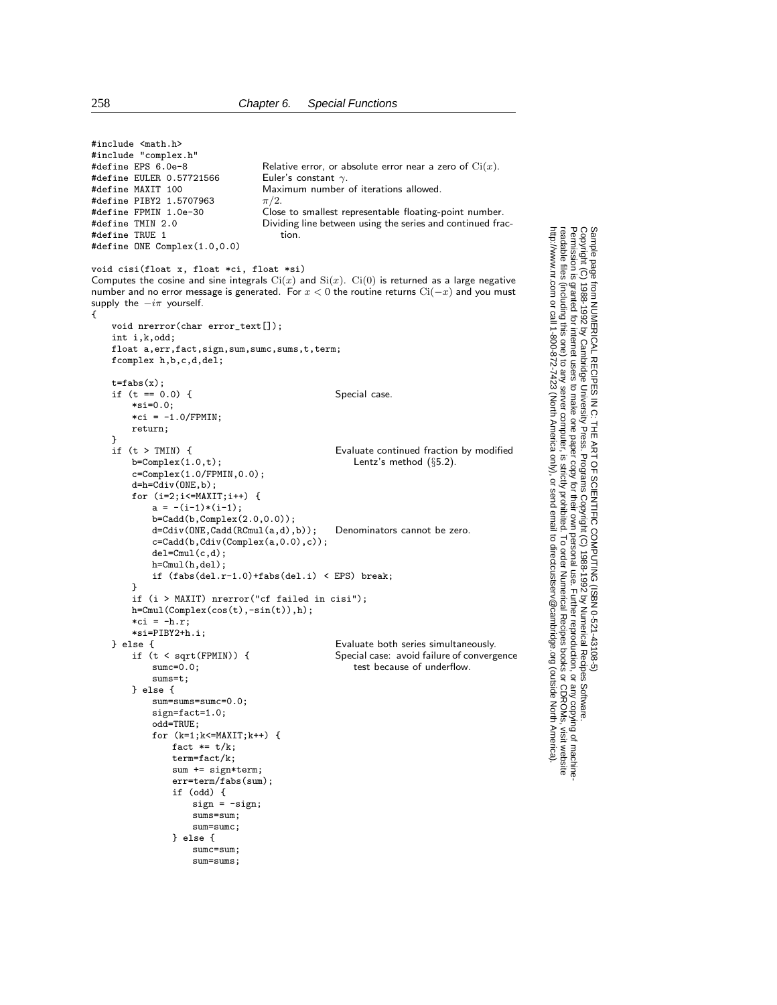| #include <mach.n></mach.n>                                                                                                                                                                                                                                                                                    |                                                                          |
|---------------------------------------------------------------------------------------------------------------------------------------------------------------------------------------------------------------------------------------------------------------------------------------------------------------|--------------------------------------------------------------------------|
| #include "complex.h"<br>#define EPS 6.0e-8                                                                                                                                                                                                                                                                    | Relative error, or absolute error near a zero of $\mathrm{Ci}(x)$ .      |
| #define EULER 0.57721566                                                                                                                                                                                                                                                                                      | Euler's constant $\gamma$ .                                              |
| #define MAXIT 100                                                                                                                                                                                                                                                                                             | Maximum number of iterations allowed.                                    |
| #define PIBY2 1.5707963                                                                                                                                                                                                                                                                                       | $\pi/2$ .                                                                |
| #define FPMIN 1.0e-30                                                                                                                                                                                                                                                                                         | Close to smallest representable floating-point number.                   |
| #define TMIN 2.0                                                                                                                                                                                                                                                                                              | Dividing line between using the series and continued frac-               |
| #define TRUE 1                                                                                                                                                                                                                                                                                                | tion.                                                                    |
| #define ONE Complex(1.0,0.0)                                                                                                                                                                                                                                                                                  |                                                                          |
|                                                                                                                                                                                                                                                                                                               |                                                                          |
| void cisi(float x, float *ci, float *si)<br>Computes the cosine and sine integrals $\text{Ci}(x)$ and $\text{Si}(x)$ . $\text{Ci}(0)$ is returned as a large negative<br>number and no error message is generated. For $x < 0$ the routine returns $Ci(-x)$ and you must<br>supply the $-i\pi$ yourself.<br>€ |                                                                          |
| void nrerror(char error_text[]);<br>int i,k,odd;                                                                                                                                                                                                                                                              |                                                                          |
| float a, err, fact, sign, sum, sumc, sums, t, term;                                                                                                                                                                                                                                                           |                                                                          |
| fcomplex h,b,c,d,del;                                                                                                                                                                                                                                                                                         |                                                                          |
| $t = fabs(x);$                                                                                                                                                                                                                                                                                                |                                                                          |
| if $(t == 0.0)$ {                                                                                                                                                                                                                                                                                             | Special case.                                                            |
| $*si=0.0;$                                                                                                                                                                                                                                                                                                    |                                                                          |
| $*ci = -1.0/FPMIN;$                                                                                                                                                                                                                                                                                           |                                                                          |
| return;                                                                                                                                                                                                                                                                                                       |                                                                          |
| }                                                                                                                                                                                                                                                                                                             |                                                                          |
| if $(t > TMIN)$ {                                                                                                                                                                                                                                                                                             | Evaluate continued fraction by modified                                  |
| $b =$ Complex $(1.0,t)$ ;<br>$c =$ Complex $(1.0/FPMIN, 0.0)$ ;                                                                                                                                                                                                                                               | Lentz's method $(\S5.2)$ .                                               |
| $d=h=Cdiv(ONE, b)$ ;                                                                                                                                                                                                                                                                                          |                                                                          |
| for $(i=2; i<=MAXIT; i++)$ {                                                                                                                                                                                                                                                                                  |                                                                          |
| $a = -(i-1)*(i-1);$                                                                                                                                                                                                                                                                                           |                                                                          |
| $b = Cadd(b, Complex(2.0, 0.0));$                                                                                                                                                                                                                                                                             |                                                                          |
| $d = Cdiv(ONE, Cadd(RCmul(a,d), b));$                                                                                                                                                                                                                                                                         | Denominators cannot be zero.                                             |
| $c = Cadd(b, Cdiv(Complex(a, 0.0), c));$                                                                                                                                                                                                                                                                      |                                                                          |
| $del=Cmul(c,d);$                                                                                                                                                                                                                                                                                              |                                                                          |
| $h = Cmu1(h, del);$                                                                                                                                                                                                                                                                                           |                                                                          |
|                                                                                                                                                                                                                                                                                                               | if $(fabs(del.r-1.0)+fabs(del.i) < EPS)$ break;                          |
| }                                                                                                                                                                                                                                                                                                             |                                                                          |
| if $(i > MAXIT)$ nrerror("cf failed in cisi");                                                                                                                                                                                                                                                                |                                                                          |
| $h = Cmu(Complex(cos(t), -sin(t)), h);$                                                                                                                                                                                                                                                                       |                                                                          |
| $*$ ci = $-h.r;$                                                                                                                                                                                                                                                                                              |                                                                          |
| *si=PIBY2+h.i;                                                                                                                                                                                                                                                                                                |                                                                          |
| } else {                                                                                                                                                                                                                                                                                                      | Evaluate both series simultaneously.                                     |
| if $(t < \sqrt{sqrt(FPMIN)})$ {                                                                                                                                                                                                                                                                               | Special case: avoid failure of convergence<br>test because of underflow. |
| $sumc=0.0;$<br>$sums=t;$                                                                                                                                                                                                                                                                                      |                                                                          |
| } else {                                                                                                                                                                                                                                                                                                      |                                                                          |
| $sum = sum = sumc = 0.0;$                                                                                                                                                                                                                                                                                     |                                                                          |
| $sign = fact = 1.0;$                                                                                                                                                                                                                                                                                          |                                                                          |
| odd=TRUE;                                                                                                                                                                                                                                                                                                     |                                                                          |
| for $(k=1; k<=MAXIT;k++)$ {                                                                                                                                                                                                                                                                                   |                                                                          |
| fact $*= t/k;$                                                                                                                                                                                                                                                                                                |                                                                          |
| $term = fact/k;$                                                                                                                                                                                                                                                                                              |                                                                          |
| sum += sign*term;                                                                                                                                                                                                                                                                                             |                                                                          |
| err=term/fabs(sum);                                                                                                                                                                                                                                                                                           |                                                                          |
| if $(odd)$ {                                                                                                                                                                                                                                                                                                  |                                                                          |
| $sign = -sign;$                                                                                                                                                                                                                                                                                               |                                                                          |
| sums=sum;                                                                                                                                                                                                                                                                                                     |                                                                          |
| sum=sumc;                                                                                                                                                                                                                                                                                                     |                                                                          |
| } else {                                                                                                                                                                                                                                                                                                      |                                                                          |
| $sumc = sum;$<br>sum=sums;                                                                                                                                                                                                                                                                                    |                                                                          |
|                                                                                                                                                                                                                                                                                                               |                                                                          |

Permission is granted for internet users to make one paper copy for their own personal use. Further reproduction, or any copyin

computer, is strictly prohibited. To order Numerical Recipes books

or send email to directcustserv@cambridge.org (outside North America).

Sample page from NUMERICAL RECIPES IN C: THE ART OF SCIENTIFIC COMPUTING (ISBN 0-521-43108-5)

Programs Copyright (C) 1988-1992 by Numerical Recipes Software.

g of machine-

or CDROMs, visit website

Copyright (C) 1988-1992 by Cambridge University Press.

readable files (including this one) to any server

http://www.nr.com or call 1-800-872-7423 (North America only),

#include <math.h>